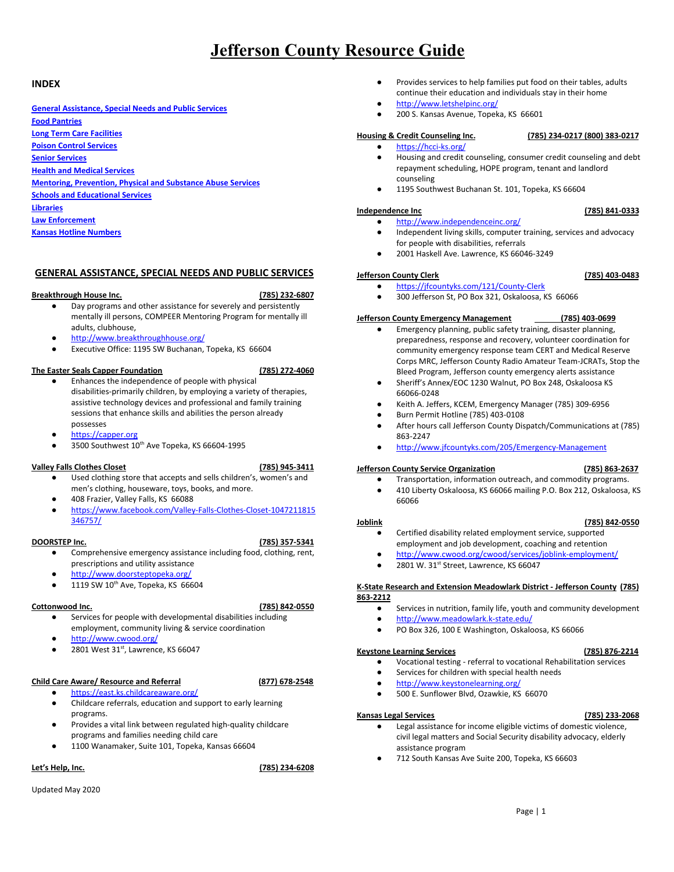### **INDEX**

**General [Assistance,](#page-0-0) Special Needs and Public Services Food [Pantries](#page-1-0) Long Term Care [Facilities](#page-2-0) Poison Control [Services](#page-2-1) Senior [Services](#page-2-2) Health and Medical [Services](#page-3-0) Mentoring, [Prevention,](#page-4-0) Physical and Substance Abuse Services Schools and [Educational](#page-5-0) Services [Libraries](#page-6-0) Law [Enforcement](#page-7-0) Kansas Hotline Numbers**

# <span id="page-0-0"></span>**GENERAL ASSISTANCE, SPECIAL NEEDS AND PUBLIC SERVICES**

### **Breakthrough House Inc. (785) 232-6807**

- Day programs and other assistance for severely and persistently mentally ill persons, COMPEER Mentoring Program for mentally ill adults, clubhouse,
- <http://www.breakthroughhouse.org/>
- Executive Office: 1195 SW Buchanan, Topeka, KS 66604

### **The Easter Seals Capper Foundation (785) 272-4060**

- **●** Enhances the independence of people with physical disabilities-primarily children, by employing a variety of therapies, assistive technology devices and professional and family training sessions that enhance skills and abilities the person already possesses
- [https://capper.org](https://capper.org/)
- 3500 Southwest 10<sup>th</sup> Ave Topeka, KS 66604-1995

### **Valley Falls Clothes Closet (785) 945-3411**

- 
- Used clothing store that accepts and sells children's, women's and men's clothing, houseware, toys, books, and more.
- 408 Frazier, Valley Falls, KS 66088
- [https://www.facebook.com/Valley-Falls-Clothes-Closet-1047211815](https://www.facebook.com/Valley-Falls-Clothes-Closet-1047211815346757/) [346757/](https://www.facebook.com/Valley-Falls-Clothes-Closet-1047211815346757/)

- **●** Comprehensive emergency assistance including food, clothing, rent, prescriptions and utility assistance
- <http://www.doorsteptopeka.org/>
- $\bullet$  1119 SW 10<sup>th</sup> Ave, Topeka, KS 66604

# **Cottonwood Inc. (785) 842-0550**

- Services for people with developmental disabilities including employment, community living & service coordination
- <http://www.cwood.org/>
- $\bullet$  2801 West 31<sup>st</sup>, Lawrence, KS 66047

### **Child Care Aware/ Resource and Referral (877) 678-2548**

- <https://east.ks.childcareaware.org/>
- Childcare referrals, education and support to early learning programs.
- Provides a vital link between regulated high-quality childcare programs and families needing child care
- 1100 Wanamaker, Suite 101, Topeka, Kansas 66604

Updated May 2020

### **Let's Help, Inc. (785) 234-6208**

- Provides services to help families put food on their tables, adults continue their education and individuals stay in their home
- <http://www.letshelpinc.org/>
- 200 S. Kansas Avenue, Topeka, KS 66601

# **Housing & Credit Counseling Inc. (785) 234-0217 (800) 383-0217**

- <https://hcci-ks.org/>
- Housing and credit counseling, consumer credit counseling and debt repayment scheduling, HOPE program, tenant and landlord counseling
- 1195 Southwest Buchanan St. 101, Topeka, KS 66604

### **Independence Inc (785) 841-0333**

### <http://www.independenceinc.org/>

- Independent living skills, computer training, services and advocacy for people with disabilities, referrals
- 2001 Haskell Ave. Lawrence, KS 66046-3249

### **Jefferson County Clerk (785) 403-0483** <https://jfcountyks.com/121/County-Clerk>

300 Jefferson St, PO Box 321, Oskaloosa, KS 66066

# **Jefferson County Emergency Management (785) 403-0699**

- Emergency planning, public safety training, disaster planning, preparedness, response and recovery, volunteer coordination for community emergency response team CERT and Medical Reserve Corps MRC, Jefferson County Radio Amateur Team-JCRATs, Stop the Bleed Program, Jefferson county emergency alerts assistance
- Sheriff's Annex/EOC 1230 Walnut, PO Box 248, Oskaloosa KS 66066-0248
- Keith A. Jeffers, KCEM, Emergency Manager (785) 309-6956
- Burn Permit Hotline (785) 403-0108
- After hours call Jefferson County Dispatch/Communications at (785) 863-2247
- 

● 410 Liberty Oskaloosa, KS 66066 mailing P.O. Box 212, Oskaloosa, KS 66066

### **Joblink (785) 842-0550** Certified disability related employment service, supported employment and job development, coaching and retention

- <http://www.cwood.org/cwood/services/joblink-employment/>
- $\bullet$  2801 W. 31<sup>st</sup> Street, Lawrence, KS 66047

### **K-State Research and Extension Meadowlark District - Jefferson County (785) 863-2212**

- Services in nutrition, family life, youth and community development
- <http://www.meadowlark.k-state.edu/>
- PO Box 326, 100 E Washington, Oskaloosa, KS 66066

### **Keystone Learning Services (785) 876-2214**

- Vocational testing referral to vocational Rehabilitation services
- Services for children with special health needs
- <http://www.keystonelearning.org/>
- 500 E. Sunflower Blvd, Ozawkie, KS 66070

### **Kansas Legal Services (785) 233-2068**

- Legal assistance for income eligible victims of domestic violence, civil legal matters and Social Security disability advocacy, elderly assistance program
- **●** 712 South Kansas Ave Suite 200, Topeka, KS 66603

# **DOORSTEP Inc. (785) 357-5341**

- 
- 
- 
- 
- - - <http://www.jfcountyks.com/205/Emergency-Management>

Transportation, information outreach, and commodity programs.

- **Jefferson County Service Organization (785) 863-2637**
- 
- 
- 
- 

- -

Page | 1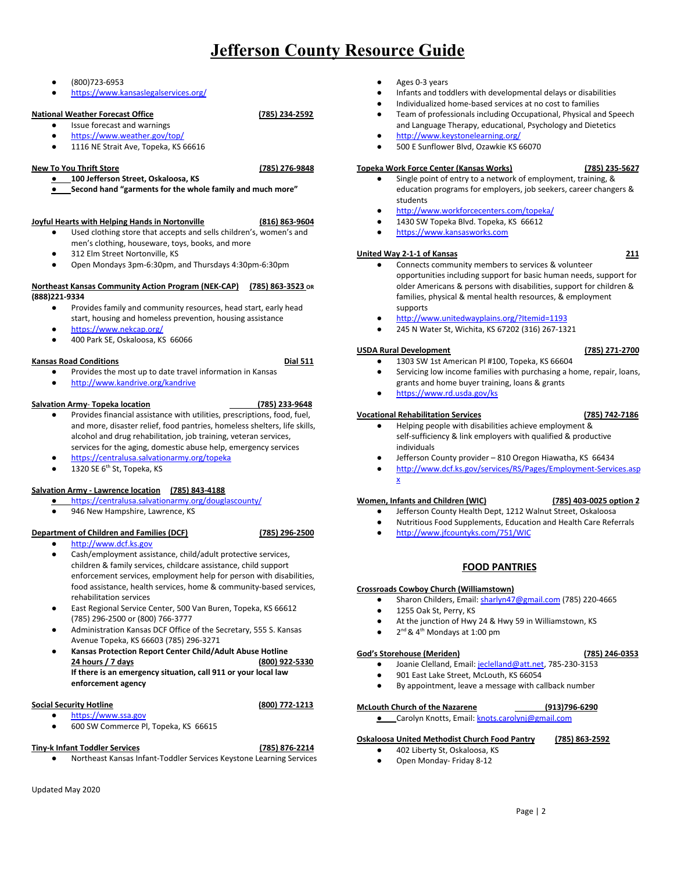### **●** (800)723-6953

**●** <https://www.kansaslegalservices.org/>

## **National Weather Forecast Office (785) 234-2592**

- Issue forecast and warnings <https://www.weather.gov/top/>
- 1116 NE Strait Ave, Topeka, KS 66616

### **New To You Thrift Store (785) 276-9848**

- **● 100 Jefferson Street, Oskaloosa, KS**
- **● Second hand "garments for the whole family and much more"**

### **Joyful Hearts with Helping Hands in Nortonville (816) 863-9604**

- Used clothing store that accepts and sells children's, women's and men's clothing, houseware, toys, books, and more
- 312 Elm Street Nortonville, KS
- Open Mondays 3pm-6:30pm, and Thursdays 4:30pm-6:30pm

### **Northeast Kansas Community Action Program (NEK-CAP) (785) 863-3523 OR (888)221-9334**

- Provides family and community resources, head start, early head start, housing and homeless prevention, housing assistance
- <https://www.nekcap.org/>
- 400 Park SE, Oskaloosa, KS 66066

### **Kansas Road Conditions Dial 511**

- Provides the most up to date travel information in Kansas
- <http://www.kandrive.org/kandrive>

### **Salvation Army**- **Topeka location (785) 233-9648**

- Provides financial assistance with utilities, prescriptions, food, fuel, and more, disaster relief, food pantries, homeless shelters, life skills, alcohol and drug rehabilitation, job training, veteran services, services for the aging, domestic abuse help, emergency services
- 
- 

### **Salvation Army - Lawrence location (785) 843-4188**

- <https://centralusa.salvationarmy.org/douglascounty/>
	- 946 New Hampshire, Lawrence, KS

### **Department of Children and Families (DCF) (785) 296-2500**

### ● [http://www.dcf.ks.gov](http://www.dcf.ks.gov/)

- 
- Cash/employment assistance, child/adult protective services, children & family services, childcare assistance, child support enforcement services, employment help for person with disabilities, food assistance, health services, home & community-based services, rehabilitation services
- East Regional Service Center, 500 Van Buren, Topeka, KS 66612 (785) 296-2500 or (800) 766-3777
- Administration Kansas DCF Office of the Secretary, 555 S. Kansas Avenue Topeka, KS 66603 (785) 296-3271
- **● Kansas Protection Report Center Child/Adult Abuse Hotline 24 hours / 7 days (800) 922-5330 If there is an emergency situation, call 911 or your local law enforcement agency**

### **Social Security Hotline (800) 772-1213**

- [https://www.ssa.gov](https://www.ssa.gov/)
- 600 SW Commerce Pl, Topeka, KS 66615

# **Tiny-k Infant Toddler Services (785) 876-2214**

- Northeast Kansas Infant-Toddler Services Keystone Learning Services
- Updated May 2020
- Ages 0-3 years
- Infants and toddlers with developmental delays or disabilities
- Individualized home-based services at no cost to families
- Team of professionals including Occupational, Physical and Speech and Language Therapy, educational, Psychology and Dietetics
- <http://www.keystonelearning.org/>
- 500 E Sunflower Blvd, Ozawkie KS 66070

### **Topeka Work Force Center (Kansas Works) (785) 235-5627**

- **●** Single point of entry to a network of employment, training, & education programs for employers, job seekers, career changers & students
- <http://www.workforcecenters.com/topeka/>
- 1430 SW Topeka Blvd. Topeka, KS 66612
- **●** [https://www.kansasworks.com](https://www.kansasworks.com/)

### **United Way 2-1-1 of Kansas 211**

- Connects community members to services & volunteer opportunities including support for basic human needs, support for older Americans & persons with disabilities, support for children & families, physical & mental health resources, & employment supports
- <http://www.unitedwayplains.org/?Itemid=1193>
- 245 N Water St, Wichita, KS 67202 (316) 267-1321

### **USDA Rural Development (785) 271-2700**

- 1303 SW 1st American Pl #100, Topeka, KS 66604
- Servicing low income families with purchasing a home, repair, loans, grants and home buyer training, loans & grants
- <https://www.rd.usda.gov/ks>

### **Vocational Rehabilitation Services (785) 742-7186**

- Helping people with disabilities achieve employment & self-sufficiency & link employers with qualified & productive individuals
- Jefferson County provider 810 Oregon Hiawatha, KS 66434
- [http://www.dcf.ks.gov/services/RS/Pages/Employment-Services.asp](http://www.dcf.ks.gov/services/RS/Pages/Employment-Services.aspx) [x](http://www.dcf.ks.gov/services/RS/Pages/Employment-Services.aspx)

### **Women, Infants and Children (WIC) (785) 403-0025 option 2**

- Jefferson County Health Dept, 1212 Walnut Street, Oskaloosa
- Nutritious Food Supplements, Education and Health Care Referrals
- <http://www.jfcountyks.com/751/WIC>

## **FOOD PANTRIES**

### <span id="page-1-0"></span>**Crossroads Cowboy Church (Williamstown)**

- Sharon Childers, Email: [sharlyn47@gmail.com](mailto:sharlyn47@gmail.com) (785) 220-4665
- 1255 Oak St, Perry, KS
- At the junction of Hwy 24 & Hwy 59 in Williamstown, KS
- $\bullet$  2<sup>nd</sup> & 4<sup>th</sup> Mondays at 1:00 pm

### **God's Storehouse (Meriden) (785) 246-0353**

- Joanie Clelland, Email: [jeclelland@att.net](mailto:jeclelland@att.net), 785-230-3153
- 901 East Lake Street, McLouth, KS 66054
- By appointment, leave a message with callback number

### **McLouth Church of the Nazarene (913)796-6290**

**●** Carolyn Knotts, Email: [knots.carolynj@gmail.com](mailto:knots.carolynj@gmail.com)

### **Oskaloosa United Methodist Church Food Pantry (785) 863-2592**

- 402 Liberty St, Oskaloosa, KS
	- Open Monday- Friday 8-12

- 
- <https://centralusa.salvationarmy.org/topeka>
- $\bullet$  1320 SE  $6<sup>th</sup>$  St, Topeka, KS
- 
-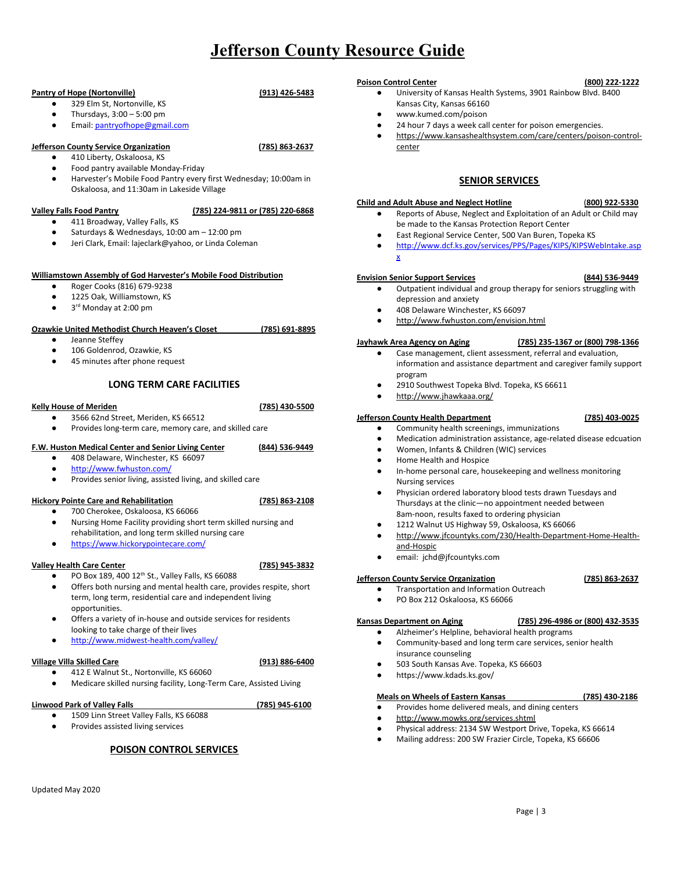### **Pantry of Hope (Nortonville) (913) 426-5483**

### 329 Elm St, Nortonville, KS

- Thursdays,  $3:00 5:00$  pm
- Email: [pantryofhope@gmail.com](mailto:pantryofhope@gmail.com)

# **Jefferson County Service Organization (785) 863-2637**

# ● 410 Liberty, Oskaloosa, KS

- Food pantry available Monday-Friday
- Harvester's Mobile Food Pantry every first Wednesday; 10:00am in Oskaloosa, and 11:30am in Lakeside Village

### **Valley Falls Food Pantry (785) 224-9811 or (785) 220-6868**

- 411 Broadway, Valley Falls, KS
- Saturdays & Wednesdays, 10:00 am 12:00 pm
- Jeri Clark, Email: lajeclark@yahoo, or Linda Coleman

### **Williamstown Assembly of God Harvester's Mobile Food Distribution**

- [Roger](mailto:wagc@williamstown.org) Cooks (816) 679-9238
- 1225 Oak, Williamstown, KS
- 3<sup>rd</sup> Monday at 2:00 pm

### **Ozawkie United Methodist Church Heaven's Closet (785) 691-8895**

- Jeanne Steffey
- 106 Goldenrod, Ozawkie, KS
- 45 minutes after phone request

# **LONG TERM CARE FACILITIES**

### <span id="page-2-0"></span>**Kelly House of Meriden (785) 430-5500**

3566 62nd Street, Meriden, KS 66512 Provides long-term care, memory care, and skilled care

### **F.W. Huston Medical Center and Senior Living Center (844) 536-9449**

- 408 Delaware, Winchester, KS 66097
- <http://www.fwhuston.com/>
- Provides senior living, assisted living, and skilled care

# **Hickory Pointe Care and Rehabilitation (785) 863-2108**

- **●** 700 Cherokee, Oskaloosa, KS 66066
- **●** Nursing Home Facility providing short term skilled nursing and rehabilitation, and long term skilled nursing care
- <https://www.hickorypointecare.com/>

### **Valley Health Care Center (785) 945-3832**

- 
- PO Box 189, 400 12<sup>th</sup> St., Valley Falls, KS 66088 Offers both nursing and mental health care, provides respite, short term, long term, residential care and independent living opportunities.
- Offers a variety of in-house and outside services for residents looking to take charge of their lives
- <http://www.midwest-health.com/valley/>

### **Village Villa Skilled Care (913) 886-6400**

**●** 412 E Walnut St., Nortonville, KS 66060 **●** Medicare skilled nursing facility, Long-Term Care, Assisted Living

### **Linwood Park of Valley Falls (785) 945-6100**

- 1509 Linn Street Valley Falls, KS 66088
- <span id="page-2-1"></span>Provides assisted living services

## **POISON CONTROL SERVICES**

### **Poison Control Center (800) 222-1222**

- University of Kansas Health Systems, 3901 Rainbow Blvd. B400 Kansas City, Kansas 66160
- [www.kumed.com/poison](http://www.kumed.com/poison)
- 24 hour 7 days a week call center for poison emergencies.
- [https://www.kansashealthsystem.com/care/centers/poison-control](https://www.kansashealthsystem.com/care/centers/poison-control-center)[center](https://www.kansashealthsystem.com/care/centers/poison-control-center)

# **SENIOR SERVICES**

### <span id="page-2-2"></span>**Child and Adult Abuse and Neglect Hotline** (**800) 922-5330**

- Reports of Abuse, Neglect and Exploitation of an Adult or Child may be made to the Kansas Protection Report Center
- East Regional Service Center, 500 Van Buren, Topeka KS
- http://www.dcf.ks.gov/services/PPS/Pages/KIPS/KIPSWebIntake.asp x

### **Envision Senior Support Services (844) 536-9449**

- **●** Outpatient individual and group therapy for seniors struggling with depression and anxiety
- **●** 408 Delaware Winchester, KS 66097
- **●** <http://www.fwhuston.com/envision.html>

### **Jayhawk Area Agency on Aging (785) 235-1367 or (800) 798-1366**

- **●** Case management, client assessment, referral and evaluation, information and assistance department and caregiver family support program
- 2910 Southwest Topeka Blvd. Topeka, KS 66611
- **●** <http://www.jhawkaaa.org/>

### **Jefferson County Health Department (785) 403-0025**

- Community health screenings, immunizations
- Medication administration assistance, age-related disease edcuation
- Women, Infants & Children (WIC) services
- Home Health and Hospice
- In-home personal care, housekeeping and wellness monitoring Nursing services
- Physician ordered laboratory blood tests drawn Tuesdays and Thursdays at the clinic—no appointment needed between 8am-noon, results faxed to ordering physician
- 1212 Walnut US Highway 59, Oskaloosa, KS 66066
- [http://www.jfcountyks.com/230/Health-Department-Home-Health](http://www.jfcountyks.com/230/Health-Department-Home-Health-and-Hospic)[and-Hospic](http://www.jfcountyks.com/230/Health-Department-Home-Health-and-Hospic)
- email: [jchd@jfcountyks.com](mailto:jchd@jfcountyks.com)

### **Jefferson County Service Organization (785) 863-2637**

- Transportation and Information Outreach
- PO Box 212 Oskaloosa, KS 66066

### **Kansas Department on Aging (785) 296-4986 or (800) 432-3535**

### Alzheimer's Helpline, behavioral health programs

- **●** Community-based and long term care services, senior health insurance counseling
- **●** 503 South Kansas Ave. Topeka, KS 66603
- **●** https://www.kdads.ks.gov/

### **Meals on Wheels of Eastern Kansas (785) 430-2186**

- Provides home delivered meals, and dining centers
- <http://www.mowks.org/services.shtml>
- Physical address: 2134 SW Westport Drive, Topeka, KS 66614
- Mailing address: 200 SW Frazier Circle, Topeka, KS 66606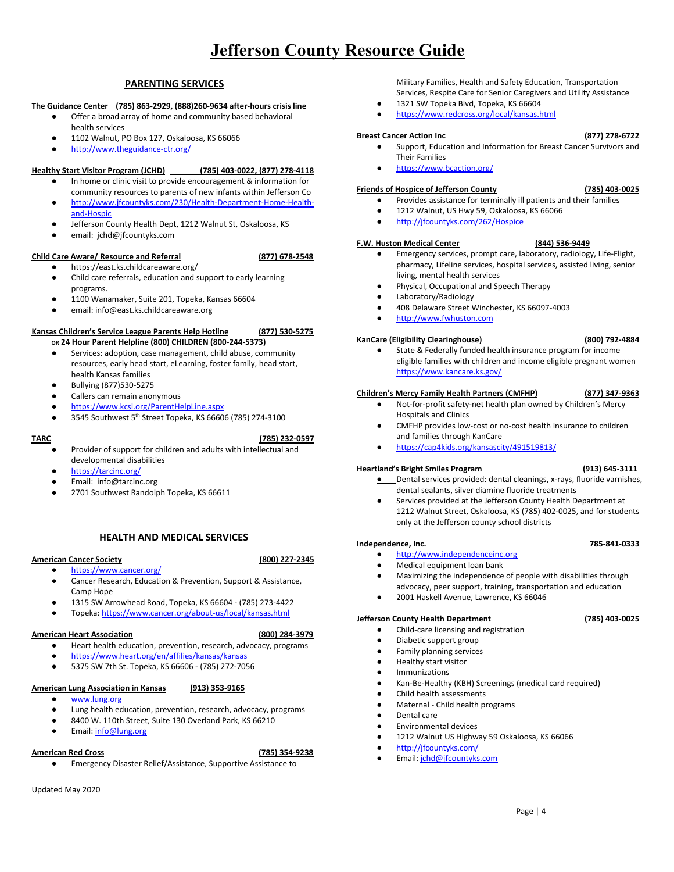## **PARENTING SERVICES**

### **The Guidance Center (785) 863-2929, (888)260-9634 after-hours crisis line**

- Offer a broad array of home and community based behavioral health services
- 1102 Walnut, PO Box 127, Oskaloosa, KS 66066
- <http://www.theguidance-ctr.org/>

### **Healthy Start Visitor Program (JCHD) (785) 403-0022, (877) 278-4118**

- In home or clinic visit to provide encouragement & information for community resources to parents of new infants within Jefferson Co
- [http://www.jfcountyks.com/230/Health-Department-Home-Health](http://www.jfcountyks.com/230/Health-Department-Home-Health-and-Hospic)[and-Hospic](http://www.jfcountyks.com/230/Health-Department-Home-Health-and-Hospic)
- Jefferson County Health Dept, 1212 Walnut St, Oskaloosa, KS
- email: [jchd@jfcountyks.com](mailto:jchd@jfcountyks.com)

### **Child Care Aware/ Resource and Referral (877) 678-2548**

- <https://east.ks.childcareaware.org/> ● Child care referrals, education and support to early learning programs.
- 1100 Wanamaker, Suite 201, Topeka, Kansas 66604
- email: info@east.ks.childcareaware.org

### **Kansas Children's Service League Parents Help Hotline (877) 530-5275 OR 24 Hour Parent Helpline (800) CHILDREN (800-244-5373)**

- Services: adoption, case management, child abuse, community resources, early head start, eLearning, foster family, head start, health Kansas families
- Bullying (877)530-5275
- Callers can remain anonymous
- <https://www.kcsl.org/ParentHelpLine.aspx>
- $\bullet$  3545 Southwest 5<sup>th</sup> Street Topeka, KS 66606 (785) 274-3100

# **TARC (785) 232-0597**

- **●** Provider of support for children and adults with intellectual and developmental disabilities
- **●** <https://tarcinc.org/>
- **●** Email: info@tarcinc.org
- 2701 Southwest Randolph Topeka, KS 66611

# **HEALTH AND MEDICAL SERVICES**

### <span id="page-3-0"></span>**American Cancer Society (800) 227-2345**

# ● <https://www.cancer.org/>

- **●** Cancer Research, Education & Prevention, Support & Assistance, Camp Hope
- 1315 SW Arrowhead Road, Topeka, KS 66604 (785) 273-4422
- Topeka: <https://www.cancer.org/about-us/local/kansas.html>

### **American Heart Association (800) 284-3979**

- Heart health education, prevention, research, advocacy, programs
- <https://www.heart.org/en/affilies/kansas/kansas>
- 5375 SW 7th St. Topeka, KS 66606 (785) 272-7056

### **American Lung Association in Kansas (913) 353-9165**

- [www.lung.org](http://www.lung.org/)
- Lung health education, prevention, research, advocacy, programs 8400 W. 110th Street, Suite 130 Overland Park, KS 66210
- 
- Email: [info@lung.org](mailto:info@lung.org)

### **American Red Cross (785) 354-9238**

Emergency Disaster Relief/Assistance, Supportive Assistance to

### Updated May 2020

Military Families, Health and Safety Education, Transportation Services, Respite Care for Senior Caregivers and Utility Assistance

- 1321 SW Topeka Blvd, Topeka, KS 66604
- <https://www.redcross.org/local/kansas.html>

### **Breast Cancer Action Inc (877) 278-6722**

- Support, Education and Information for Breast Cancer Survivors and Their Families
- <https://www.bcaction.org/>

### **Friends of Hospice of Jefferson County (785) 403-0025**

- Provides assistance for terminally ill patients and their families
- 1212 Walnut, US Hwy 59, Oskaloosa, KS 66066
- <http://jfcountyks.com/262/Hospice>

### **F.W. Huston Medical Center (844) 536-9449**

- Emergency services, prompt care, laboratory, radiology, Life-Flight, pharmacy, Lifeline services, hospital services, assisted living, senior living, mental health services
- Physical, Occupational and Speech Therapy
- Laboratory/Radiology
- 
- **●** [http://www.fwhuston.com](http://www.fwhuston.com/)

### **KanCare (Eligibility Clearinghouse) (800) 792-4884**

State & Federally funded health insurance program for income eligible families with children and income eligible pregnant women <https://www.kancare.ks.gov/>

### **Children's Mercy Family Health Partners (CMFHP) (877) 347-9363**

- Not-for-profit safety-net health plan owned by Children's Mercy Hospitals and Clinics
- CMFHP provides low-cost or no-cost health insurance to children and families through KanCare
- <https://cap4kids.org/kansascity/491519813/>

### **Heartland's Bright Smiles Program (913) 645-3111**

### **●** Dental services provided: dental cleanings, x-rays, fluoride varnishes, dental sealants, silver diamine fluoride treatments

Services provided at the Jefferson County Health Department at 1212 Walnut Street, Oskaloosa, KS (785) 402-0025, and for students only at the Jefferson county school districts

### **Independence, Inc. 785-841-0333**

- [http://www.independenceinc.org](http://www.independenceinc.org/)
- Medical equipment loan bank
- Maximizing the independence of people with disabilities through advocacy, peer support, training, transportation and education
- 2001 Haskell Avenue, Lawrence, KS 66046

### **Jefferson County Health Department (785) 403-0025**

- Child-care licensing and registration
- Diabetic support group
- Family planning services
- Healthy start visitor
- Immunizations
- Kan-Be-Healthy (KBH) Screenings (medical card required)
- Child health assessments
- Maternal Child health programs
- Dental care
- **Environmental devices**
- 1212 Walnut US Highway 59 Oskaloosa, KS 66066
- <http://jfcountyks.com/>
- Email: [jchd@jfcountyks.com](mailto:jchd@jfcountyks.com)

- 408 Delaware Street Winchester, KS 66097-4003
	-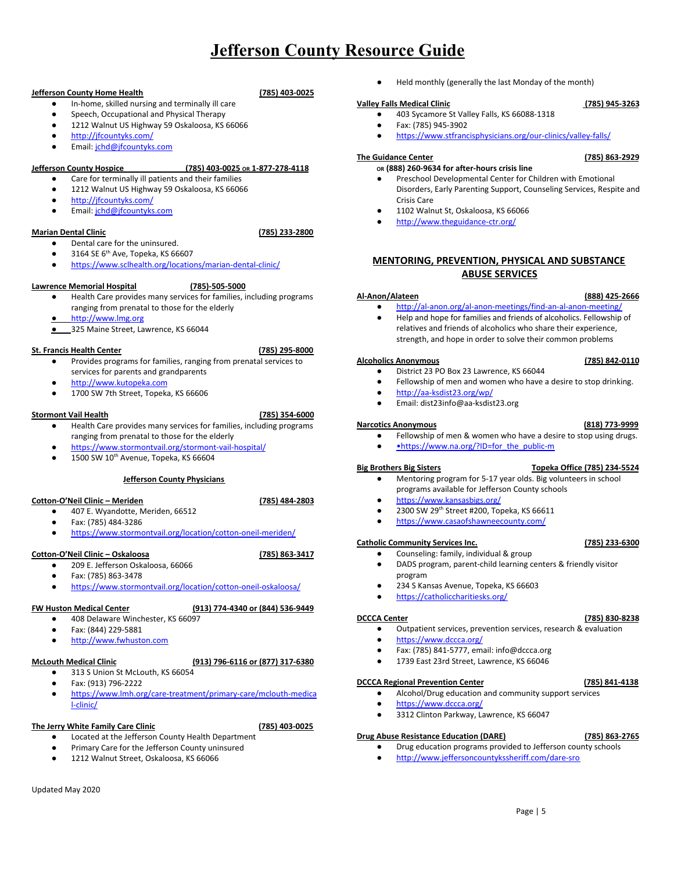### **Jefferson County Home Health (785) 403-0025**

### In-home, skilled nursing and terminally ill care

- Speech, Occupational and Physical Therapy
- 1212 Walnut US Highway 59 Oskaloosa, KS 66066
- <http://jfcountyks.com/>
- Email: [jchd@jfcountyks.com](mailto:jchd@jfcountyks.com)

### **Jefferson County Hospice (785) 403-0025 OR 1-877-278-4118**

- Care for terminally ill patients and their families
- 1212 Walnut US Highway 59 Oskaloosa, KS 66066
- <http://jfcountyks.com/>
- Email: [jchd@jfcountyks.com](mailto:jchd@jfcountyks.com)

### **Marian Dental Clinic (785) 233-2800**

- Dental care for the uninsured.
- $\bullet$  3164 SE 6<sup>th</sup> Ave, Topeka, KS 66607
- <https://www.sclhealth.org/locations/marian-dental-clinic/>

### **Lawrence Memorial Hospital (785)-505-5000**

- Health Care provides many services for families, including programs ranging from prenatal to those for the elderly
- **●** [http://www.lmg.org](http://www.lmg.org/)
- **●** 325 Maine Street, Lawrence, KS 66044

### **St. Francis Health Center (785) 295-8000**

- 
- Provides programs for families, ranging from prenatal services to services for parents and grandparents
- [http://www.kutopeka.com](http://www.kutopeka.com/)
- 1700 SW 7th Street, Topeka, KS 66606

### **Stormont Vail Health (785) 354-6000**

- Health Care provides many services for families, including programs ranging from prenatal to those for the elderly
- <https://www.stormontvail.org/stormont-vail-hospital/>
- $\bullet$  1500 SW 10<sup>th</sup> Avenue, Topeka, KS 66604

### **Jefferson County Physicians**

### **Cotton-O'Neil Clinic – Meriden (785) 484-2803**

- 407 E. Wyandotte, Meriden, 66512
- Fax: (785) 484-3286
- <https://www.stormontvail.org/location/cotton-oneil-meriden/>

# **Cotton-O'Neil Clinic – Oskaloosa (785) 863-3417**

- 209 E. Jefferson Oskaloosa, 66066
- Fax: (785) 863-3478
- <https://www.stormontvail.org/location/cotton-oneil-oskaloosa/>

### **FW Huston Medical Center (913) 774-4340 or (844) 536-9449**

- 408 Delaware Winchester, KS 66097
- Fax: (844) 229-5881
- **●** [http://www.fwhuston.com](http://www.fwhuston.com/)

# **McLouth Medical Clinic (913) 796-6116 or (877) 317-6380**

- 313 S Union St McLouth, KS 66054
- Fax: (913) 796-2222
- [https://www.lmh.org/care-treatment/primary-care/mclouth-medica](https://www.lmh.org/care-treatment/primary-care/mclouth-medical-clinic/) [l-clinic/](https://www.lmh.org/care-treatment/primary-care/mclouth-medical-clinic/)

# **The Jerry White Family Care Clinic (785) 403-0025**

- Located at the Jefferson County Health Department
- Primary Care for the Jefferson County uninsured
- 1212 Walnut Street, Oskaloosa, KS 66066

Held monthly (generally the last Monday of the month)

# **Valley Falls Medical Clinic (785) 945-3263**

- 403 Sycamore St Valley Falls, KS 66088-1318 ● Fax: (785) 945-3902
- <https://www.stfrancisphysicians.org/our-clinics/valley-falls/>

### **The Guidance Center (785) 863-2929**

### **OR (888) 260-9634 for after-hours crisis line**

- Preschool Developmental Center for Children with Emotional Disorders, Early Parenting Support, Counseling Services, Respite and Crisis Care
- 1102 Walnut St, Oskaloosa, KS 66066
- <http://www.theguidance-ctr.org/>

# <span id="page-4-0"></span>**MENTORING, PREVENTION, PHYSICAL AND SUBSTANCE ABUSE SERVICES**

### **Al-Anon/Alateen (888) 425-2666**

- <http://al-anon.org/al-anon-meetings/find-an-al-anon-meeting/>
- Help and hope for families and friends of alcoholics. Fellowship of relatives and friends of alcoholics who share their experience, strength, and hope in order to solve their common problems

### **Alcoholics Anonymous (785) 842-0110**

- District 23 PO Box 23 Lawrence, KS 66044 ● Fellowship of men and women who have a desire to stop drinking.
- <http://aa-ksdist23.org/wp/>
- Email: dist23info@aa-ksdist23.org
- 

- Fellowship of men & women who have a desire to stop using drugs.
- •https://www.na.org/?ID=for\_the\_public-m

### **Big Brothers Big Sisters Topeka Office (785) 234-5524**

- Mentoring program for 5-17 year olds. Big volunteers in school programs available for Jefferson County schools
- <https://www.kansasbigs.org/>
- $\bullet$  2300 SW 29<sup>th</sup> Street #200, Topeka, KS 66611
- <https://www.casaofshawneecounty.com/>

# **Catholic Community Services Inc. (785) 233-6300**

- **●** Counseling: family, individual & group **●** DADS program, parent-child learning centers & friendly visitor program
- 234 S Kansas Avenue, Topeka, KS 66603
- <https://catholiccharitiesks.org/>

### **DCCCA Center (785) 830-8238**

- Outpatient services, prevention services, research & evaluation
- <https://www.dccca.org/>
- Fax: (785) 841-5777, email: info@dccca.org
- 1739 East 23rd Street, Lawrence, KS 66046

### **DCCCA Regional Prevention Center (785) 841-4138**

- Alcohol/Drug education and community support services
- <https://www.dccca.org/>
- 3312 Clinton Parkway, Lawrence, KS 66047

### **Drug Abuse Resistance Education (DARE) (785) 863-2765**

- Drug education programs provided to Jefferson county schools
- http://www.jeffersoncountykssheriff.com/dare-sro

### **Narcotics Anonymous (818) 773-9999**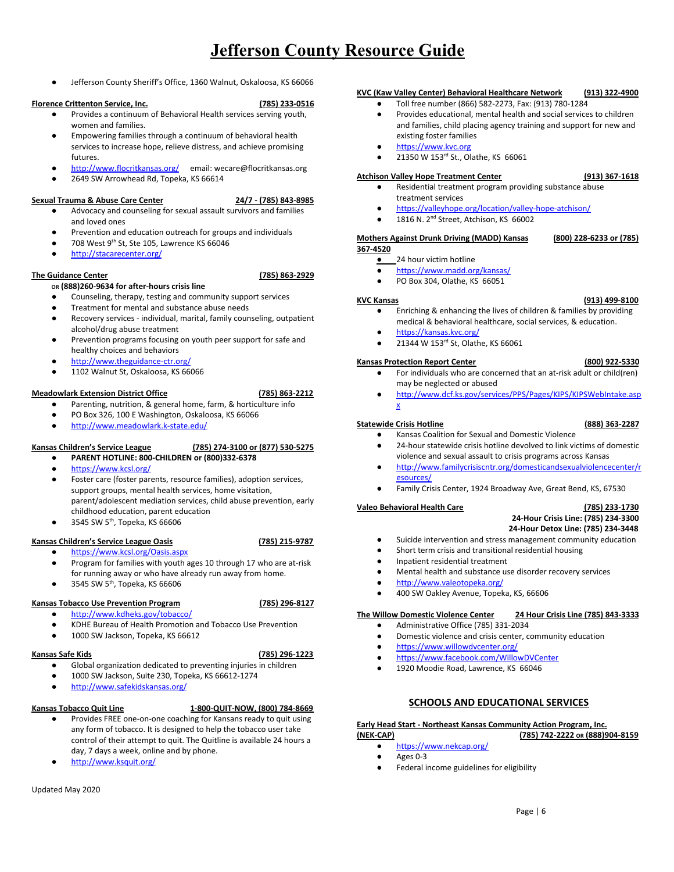Jefferson County Sheriff's Office, 1360 Walnut, Oskaloosa, KS 66066

### **Florence Crittenton Service, Inc. (785) 233-0516**

- Provides a continuum of Behavioral Health services serving youth, women and families.
- Empowering families through a continuum of behavioral health services to increase hope, relieve distress, and achieve promising futures.
- <http://www.flocritkansas.org/> email: wecare@flocritkansas.org
- 2649 SW Arrowhead Rd, Topeka, KS 66614

### **Sexual Trauma & Abuse Care Center 24/7 - (785) 843-8985**

- Advocacy and counseling for sexual assault survivors and families and loved ones
- Prevention and education outreach for groups and individuals
- $\bullet$  708 West 9<sup>th</sup> St, Ste 105, Lawrence KS 66046
- **●** <http://stacarecenter.org/>

### **The Guidance Center (785) 863-2929**

- **OR (888)260-9634 for after-hours crisis line**
- Counseling, therapy, testing and community support services
- Treatment for mental and substance abuse needs
- Recovery services individual, marital, family counseling, outpatient alcohol/drug abuse treatment
- Prevention programs focusing on youth peer support for safe and healthy choices and behaviors
- <http://www.theguidance-ctr.org/>
- 1102 Walnut St, Oskaloosa, KS 66066

### **Meadowlark Extension District Office (785) 863-2212**

- Parenting, nutrition, & general home, farm, & horticulture info
- PO Box 326, 100 E Washington, Oskaloosa, KS 66066
- <http://www.meadowlark.k-state.edu/>

### **Kansas Children's Service League (785) 274-3100 or (877) 530-5275**

- **● PARENT HOTLINE: 800-CHILDREN or (800)332-6378**
- <https://www.kcsl.org/>
- Foster care (foster parents, resource families), adoption services, support groups, mental health services, home visitation, parent/adolescent mediation services, child abuse prevention, early childhood education, parent education
- $\bullet$  3545 SW 5<sup>th</sup>, Topeka, KS 66606

### **Kansas Children's Service League Oasis (785) 215-9787**

- <https://www.kcsl.org/Oasis.aspx>
- Program for families with youth ages 10 through 17 who are at-risk for running away or who have already run away from home.
- $\bullet$  3545 SW 5<sup>th</sup>, Topeka, KS 66606

### **Kansas Tobacco Use Prevention Program (785) 296-8127**

- <http://www.kdheks.gov/tobacco/>
- KDHE Bureau of Health Promotion and Tobacco Use Prevention
- 1000 SW Jackson, Topeka, KS 66612

### **Kansas Safe Kids (785) 296-1223**

- Global organization dedicated to preventing injuries in children
- 1000 SW Jackson, Suite 230, Topeka, KS 66612-1274
- <http://www.safekidskansas.org/>

### **Kansas Tobacco Quit Line 1-800-QUIT-NOW, (800) 784-8669**

- Provides FREE one-on-one coaching for Kansans ready to quit using any form of tobacco. It is designed to help the tobacco user take control of their attempt to quit. The Quitline is available 24 hours a day, 7 days a week, online and by phone.
- <http://www.ksquit.org/>

### **KVC (Kaw Valley Center) Behavioral Healthcare Network (913) 322-4900**

- Toll free number (866) 582-2273, Fax: (913) 780-1284
- Provides educational, mental health and social services to children and families, child placing agency training and support for new and existing foster families
- [https://www.kvc.org](https://www.kvc.org/)
- 21350 W 153<sup>rd</sup> St., Olathe, KS 66061

# **Atchison Valley Hope Treatment Center (913) 367-1618**

- Residential treatment program providing substance abuse
	- treatment services ● <https://valleyhope.org/location/valley-hope-atchison/>
	- $\bullet$  1816 N. 2<sup>nd</sup> Street, Atchison, KS 66002

### **Mothers Against Drunk Driving (MADD) Kansas (800) 228-6233 or (785)**

- **367-4520**
	- 24 hour victim hotline
	- <https://www.madd.org/kansas/>
	- PO Box 304, Olathe, KS 66051

### **KVC Kansas (913) 499-8100**

- **●** Enriching & enhancing the lives of children & families by providing medical & behavioral healthcare, social services, & education.
- **●** <https://kansas.kvc.org/>
- 21344 W 153<sup>rd</sup> St, Olathe, KS 66061

### **Kansas Protection Report Center (800) 922-5330**

- **●** For individuals who are concerned that an at-risk adult or child(ren) may be neglected or abused
- [http://www.dcf.ks.gov/services/PPS/Pages/KIPS/KIPSWebIntake.asp](http://www.dcf.ks.gov/services/PPS/Pages/KIPS/KIPSWebIntake.aspx) [x](http://www.dcf.ks.gov/services/PPS/Pages/KIPS/KIPSWebIntake.aspx)

### **Statewide Crisis Hotline (888) 363-2287**

- Kansas Coalition for Sexual and Domestic Violence
- **●** 24-hour statewide crisis hotline devolved to link victims of domestic violence and sexual assault to crisis programs across Kansas
- [esources/](http://www.familycrisiscntr.org/domesticandsexualviolencecenter/resources/)
- 

### **Valeo Behavioral Health Care (785) 233-1730**

# **24-Hour Crisis Line: (785) 234-3300**

### **24-Hour Detox Line: (785) 234-3448**

- Suicide intervention and stress management community education ● Short term crisis and transitional residential housing
- Inpatient residential treatment
- Mental health and substance use disorder recovery services
- <http://www.valeotopeka.org/>
- 400 SW Oakley Avenue, Topeka, KS, 66606

# **The Willow Domestic Violence Center 24 Hour Crisis Line (785) 843-3333**

- Administrative Office (785) 331-2034
- Domestic violence and crisis center, community education
- <https://www.willowdvcenter.org/>
- <https://www.facebook.com/WillowDVCenter>
- 1920 Moodie Road, Lawrence, KS 66046

# **SCHOOLS AND EDUCATIONAL SERVICES**

### <span id="page-5-0"></span>**Early Head Start - Northeast Kansas Community Action Program, Inc. (NEK-CAP) (785) 742-2222 OR (888)904-8159**

- <https://www.nekcap.org/>
- Ages 0-3
- Federal income guidelines for eligibility
- 
- [http://www.familycrisiscntr.org/domesticandsexualviolencecenter/r](http://www.familycrisiscntr.org/domesticandsexualviolencecenter/resources/)
- Family Crisis Center, 1924 Broadway Ave, Great Bend, KS, 67530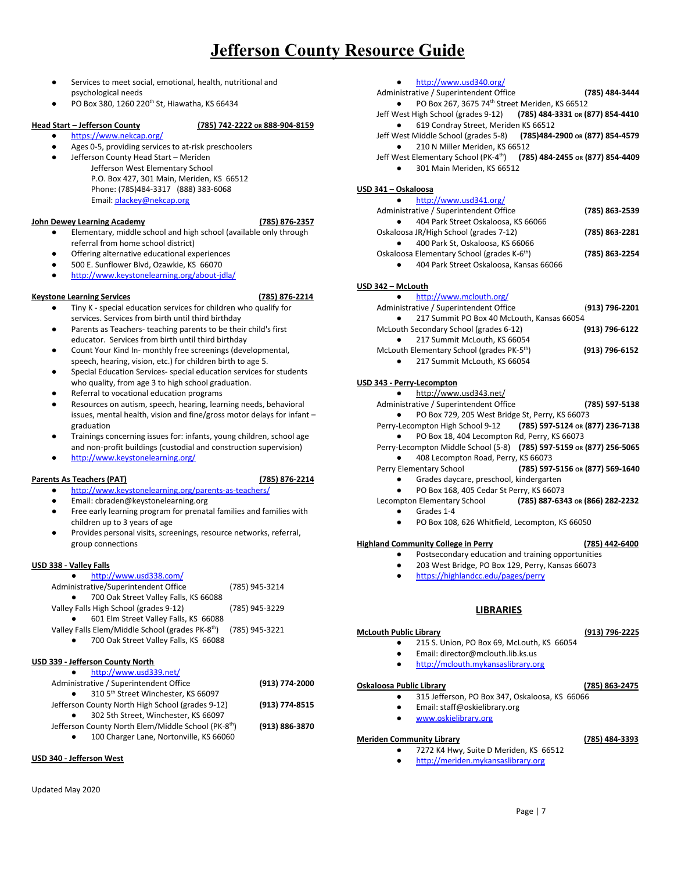- Services to meet social, emotional, health, nutritional and psychological needs
- $\bullet$  PO Box 380, 1260 220<sup>th</sup> St, Hiawatha, KS 66434

# **Head Start – Jefferson County (785) 742-2222 OR 888-904-8159**

- <https://www.nekcap.org/>
- Ages 0-5, providing services to at-risk preschoolers
- Jefferson County Head Start Meriden Jefferson West Elementary School P.O. Box 427, 301 Main, Meriden, KS 66512 Phone: (785)484-3317 (888) 383-6068 Email: [plackey@nekcap.org](mailto:plackey@nekcap.org)

### **John Dewey Learning Academy (785) 876-2357**

- 
- Elementary, middle school and high school (available only through referral from home school district)
- Offering alternative educational experiences
- 500 E. Sunflower Blvd, Ozawkie, KS 66070
- <http://www.keystonelearning.org/about-jdla/>

### **Keystone Learning Services (785) 876-2214**

- Tiny K special education services for children who qualify for services. Services from birth until third birthday
- Parents as Teachers- teaching parents to be their child's first educator. Services from birth until third birthday
- Count Your Kind In- monthly free screenings (developmental, speech, hearing, vision, etc.) for children birth to age 5.
- Special Education Services- special education services for students who quality, from age 3 to high school graduation.
- Referral to vocational education programs
- Resources on autism, speech, hearing, learning needs, behavioral issues, mental health, vision and fine/gross motor delays for infant – graduation
- Trainings concerning issues for: infants, young children, school age and non-profit buildings (custodial and construction supervision)
- <http://www.keystonelearning.org/>

# **Parents As Teachers (PAT) (785) 876-2214**

- <http://www.keystonelearning.org/parents-as-teachers/>
- Email: cbraden@keystonelearning.org Free early learning program for prenatal families and families with children up to 3 years of age
- Provides personal visits, screenings, resource networks, referral, group connections

# **USD 338 - Valley Falls**

# ● <http://www.usd338.com/>

| Administrative/Superintendent Office                                        | (785) 945-3214 |
|-----------------------------------------------------------------------------|----------------|
| 700 Oak Street Valley Falls, KS 66088                                       |                |
| Valley Falls High School (grades 9-12)                                      | (785) 945-3229 |
| 601 Elm Street Valley Falls, KS 66088                                       |                |
| Valley Falls Elem/Middle School (grades PK-8 <sup>th</sup> ) (785) 945-3221 |                |
| 700 Oak Street Valley Falls, KS 66088<br>$\bullet$                          |                |
|                                                                             |                |

### **USD 339 - Jefferson County North**

| http://www.usd339.net/                           |                |
|--------------------------------------------------|----------------|
| Administrative / Superintendent Office           | (913) 774-2000 |
| 310 5 <sup>th</sup> Street Winchester, KS 66097  |                |
| Jefferson County North High School (grades 9-12) | (913) 774-8515 |

- 302 5th Street, Winchester, KS 66097 Jefferson County North Elem/Middle School (PK-8<sup>th</sup>) ) **(913) 886-3870**
- 100 Charger Lane, Nortonville, KS 66060

# **USD 340 - Jefferson West**

- <http://www.usd340.org/>
- Administrative / Superintendent Office **(785) 484-3444**  $\bullet$  PO Box 267, 3675 74<sup>th</sup> Street Meriden, KS 66512
- Jeff West High School (grades 9-12) **(785) 484-3331 OR (877) 854-4410** ● 619 Condray Street, Meriden KS 66512
- Jeff West Middle School (grades 5-8) **(785)484-2900 OR (877) 854-4579** ● 210 N Miller Meriden, KS 66512
- Jeff West Elementary School (PK-4 th ) **(785) 484-2455 OR (877) 854-4409**
	- 301 Main Meriden, KS 66512

### **USD 341 – Oskaloosa**

| http://www.usd341.org/                                  |                |
|---------------------------------------------------------|----------------|
| Administrative / Superintendent Office                  | (785) 863-2539 |
| 404 Park Street Oskaloosa, KS 66066                     |                |
| Oskaloosa JR/High School (grades 7-12)                  | (785) 863-2281 |
| 400 Park St, Oskaloosa, KS 66066                        |                |
| Oskaloosa Elementary School (grades K-6 <sup>th</sup> ) | (785) 863-2254 |
| 404 Park Street Oskaloosa, Kansas 66066<br>$\bullet$    |                |

### **USD 342 – McLouth**

# ● <http://www.mclouth.org/>

| (913) 796-2201 | Administrative / Superintendent Office                 |
|----------------|--------------------------------------------------------|
|                | 217 Summit PO Box 40 McLouth, Kansas 66054             |
| (913) 796-6122 | McLouth Secondary School (grades 6-12)                 |
|                | 217 Summit McLouth, KS 66054                           |
| (913) 796-6152 | McLouth Elementary School (grades PK-5 <sup>th</sup> ) |

● 217 Summit McLouth, KS 66054

### **USD 343 - Perry-Lecompton**

● <http://www.usd343.net/>

- Administrative / Superintendent Office **(785) 597-5138** ● PO Box 729, 205 West Bridge St, Perry, KS 66073
- Perry-Lecompton High School 9-12 **(785) 597-5124 OR (877) 236-7138** ● PO Box 18, 404 Lecompton Rd, Perry, KS 66073
- Perry-Lecompton Middle School (5-8) **(785) 597-5159 OR (877) 256-5065** ● 408 Lecompton Road, Perry, KS 66073
- Perry Elementary School **(785) 597-5156 OR (877) 569-1640**
	- Grades daycare, preschool, kindergarten
- PO Box 168, 405 Cedar St Perry, KS 66073<br>Lecompton Elementary School (785) 887-634

# Lecompton Elementary School **(785) 887-6343 OR (866) 282-2232**

- Grades 1-4
- PO Box 108, 626 Whitfield, Lecompton, KS 66050

# **Highland Community College in Perry (785) 442-6400**

- Postsecondary education and training opportunities
- 203 West Bridge, PO Box 129, Perry, Kansas 66073
- **●** <https://highlandcc.edu/pages/perry>

# **LIBRARIES**

# <span id="page-6-0"></span>**McLouth Public Library (913) 796-2225**

- 215 S. Union, PO Box 69, McLouth, KS 66054
	- Email: director@mclouth.lib.ks.us
	- [http://mclouth.mykansaslibrary.org](http://mclouth.mykansaslibrary.org/)

### **Oskaloosa Public Library (785) 863-2475**

- 315 Jefferson, PO Box 347, Oskaloosa, KS 66066
- Email: staff@oskielibrary.org
- [www.oskielibrary.org](http://www.oskielibrary.org/)

### **Meriden Community Library (785) 484-3393**

- 7272 K4 Hwy, Suite D Meriden, KS 66512
	- [http://meriden.mykansaslibrary.org](http://meriden.mykansaslibrary.org/)

- 
- 
-